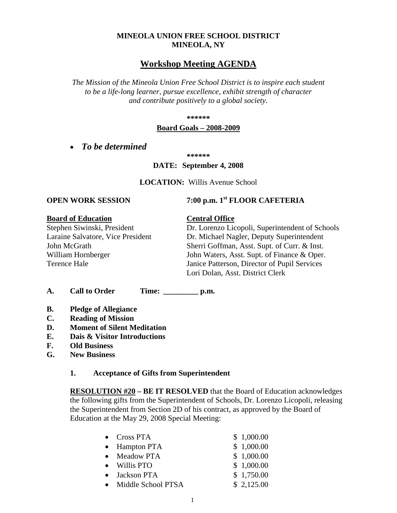### **MINEOLA UNION FREE SCHOOL DISTRICT MINEOLA, NY**

### **Workshop Meeting AGENDA**

*The Mission of the Mineola Union Free School District is to inspire each student to be a life-long learner, pursue excellence, exhibit strength of character and contribute positively to a global society.*

**\*\*\*\*\*\***

#### **Board Goals – 2008-2009**

• *To be determined*

**\*\*\*\*\*\***

#### **DATE: September 4, 2008**

**LOCATION:** Willis Avenue School

## **OPEN WORK SESSION 7:00 p.m.** 1<sup>st</sup> **FLOOR CAFETERIA**

**Board of Education**<br>
Stephen Siwinski, President<br>
Dr. Lorenzo Lic

### Dr. Lorenzo Licopoli, Superintendent of Schools Laraine Salvatore, Vice President Dr. Michael Nagler, Deputy Superintendent John McGrath Sherri Goffman, Asst. Supt. of Curr. & Inst. William Hornberger John Waters, Asst. Supt. of Finance & Oper. Terence Hale Janice Patterson, Director of Pupil Services Lori Dolan, Asst. District Clerk

**A. Call to Order Time: \_\_\_\_\_\_\_\_\_ p.m.**

- **B. Pledge of Allegiance**
- **C. Reading of Mission**
- **D. Moment of Silent Meditation**
- **E. Dais & Visitor Introductions**
- **F. Old Business**
- **G. New Business**

#### **1. Acceptance of Gifts from Superintendent**

**RESOLUTION #20 – BE IT RESOLVED** that the Board of Education acknowledges the following gifts from the Superintendent of Schools, Dr. Lorenzo Licopoli, releasing the Superintendent from Section 2D of his contract, as approved by the Board of Education at the May 29, 2008 Special Meeting:

|           | $\bullet$ Cross PTA | \$1,000.00 |
|-----------|---------------------|------------|
|           | • Hampton PTA       | \$1,000.00 |
| $\bullet$ | <b>Meadow PTA</b>   | \$1,000.00 |
|           | • Willis PTO        | \$1,000.00 |
|           | Jackson PTA         | \$1,750.00 |
|           | Middle School PTSA  | \$2,125.00 |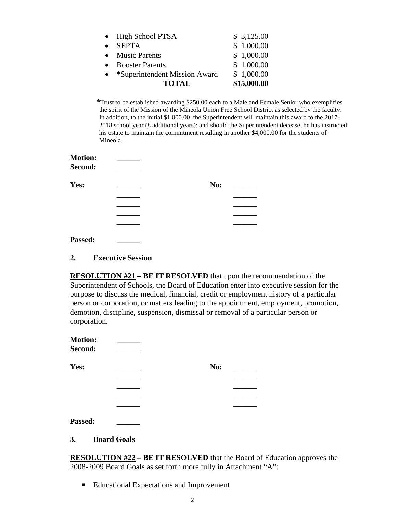|           | <b>TOTAL</b>                  | \$15,000.00 |
|-----------|-------------------------------|-------------|
| $\bullet$ | *Superintendent Mission Award | \$1,000.00  |
| $\bullet$ | <b>Booster Parents</b>        | \$1,000.00  |
|           | • Music Parents               | \$1,000.00  |
| $\bullet$ | <b>SEPTA</b>                  | \$1,000.00  |
|           | • High School PTSA            | \$3,125.00  |
|           |                               |             |

**\***Trust to be established awarding \$250.00 each to a Male and Female Senior who exemplifies the spirit of the Mission of the Mineola Union Free School District as selected by the faculty. In addition, to the initial \$1,000.00, the Superintendent will maintain this award to the 2017- 2018 school year (8 additional years); and should the Superintendent decease, he has instructed his estate to maintain the commitment resulting in another \$4,000.00 for the students of Mineola.

| <b>Motion:</b> |     |  |
|----------------|-----|--|
| Second:        |     |  |
| Yes:           | No: |  |
|                |     |  |
|                |     |  |
|                |     |  |
|                |     |  |
| Passed:        |     |  |

#### **2. Executive Session**

**RESOLUTION #21 – BE IT RESOLVED** that upon the recommendation of the Superintendent of Schools, the Board of Education enter into executive session for the purpose to discuss the medical, financial, credit or employment history of a particular person or corporation, or matters leading to the appointment, employment, promotion, demotion, discipline, suspension, dismissal or removal of a particular person or corporation.

| <b>Motion:</b><br>Second: |     |  |
|---------------------------|-----|--|
| Yes:                      | No: |  |
|                           |     |  |
|                           |     |  |
|                           |     |  |
|                           |     |  |
| Passed:                   |     |  |

#### **3. Board Goals**

**RESOLUTION #22 – BE IT RESOLVED** that the Board of Education approves the 2008-2009 Board Goals as set forth more fully in Attachment "A":

■ Educational Expectations and Improvement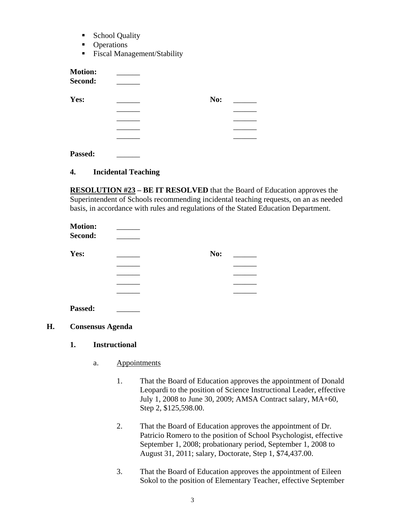- School Quality
- **Operations**
- Fiscal Management/Stability

| <b>Motion:</b><br>Second: |     |  |
|---------------------------|-----|--|
| Yes:                      | No: |  |
|                           |     |  |
|                           |     |  |
|                           |     |  |
|                           |     |  |
| Passed:                   |     |  |

#### **4. Incidental Teaching**

**RESOLUTION #23 – BE IT RESOLVED** that the Board of Education approves the Superintendent of Schools recommending incidental teaching requests, on an as needed basis, in accordance with rules and regulations of the Stated Education Department.

| <b>Motion:</b> |     |  |
|----------------|-----|--|
| Second:        |     |  |
| Yes:           | No: |  |
|                |     |  |
|                |     |  |
|                |     |  |
|                |     |  |
| Passed:        |     |  |

- **H. Consensus Agenda**
	- **1. Instructional** 
		- a. Appointments
			- 1. That the Board of Education approves the appointment of Donald Leopardi to the position of Science Instructional Leader, effective July 1, 2008 to June 30, 2009; AMSA Contract salary, MA+60, Step 2, \$125,598.00.
			- 2. That the Board of Education approves the appointment of Dr. Patricio Romero to the position of School Psychologist, effective September 1, 2008; probationary period, September 1, 2008 to August 31, 2011; salary, Doctorate, Step 1, \$74,437.00.
			- 3. That the Board of Education approves the appointment of Eileen Sokol to the position of Elementary Teacher, effective September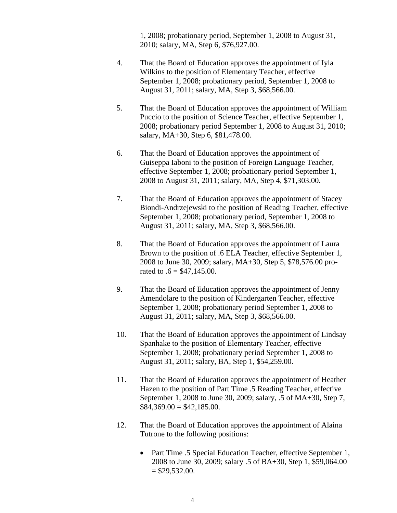1, 2008; probationary period, September 1, 2008 to August 31, 2010; salary, MA, Step 6, \$76,927.00.

- 4. That the Board of Education approves the appointment of Iyla Wilkins to the position of Elementary Teacher, effective September 1, 2008; probationary period, September 1, 2008 to August 31, 2011; salary, MA, Step 3, \$68,566.00.
- 5. That the Board of Education approves the appointment of William Puccio to the position of Science Teacher, effective September 1, 2008; probationary period September 1, 2008 to August 31, 2010; salary, MA+30, Step 6, \$81,478.00.
- 6. That the Board of Education approves the appointment of Guiseppa Iaboni to the position of Foreign Language Teacher, effective September 1, 2008; probationary period September 1, 2008 to August 31, 2011; salary, MA, Step 4, \$71,303.00.
- 7. That the Board of Education approves the appointment of Stacey Biondi-Andrzejewski to the position of Reading Teacher, effective September 1, 2008; probationary period, September 1, 2008 to August 31, 2011; salary, MA, Step 3, \$68,566.00.
- 8. That the Board of Education approves the appointment of Laura Brown to the position of .6 ELA Teacher, effective September 1, 2008 to June 30, 2009; salary, MA+30, Step 5, \$78,576.00 prorated to  $.6 = $47,145.00$ .
- 9. That the Board of Education approves the appointment of Jenny Amendolare to the position of Kindergarten Teacher, effective September 1, 2008; probationary period September 1, 2008 to August 31, 2011; salary, MA, Step 3, \$68,566.00.
- 10. That the Board of Education approves the appointment of Lindsay Spanhake to the position of Elementary Teacher, effective September 1, 2008; probationary period September 1, 2008 to August 31, 2011; salary, BA, Step 1, \$54,259.00.
- 11. That the Board of Education approves the appointment of Heather Hazen to the position of Part Time .5 Reading Teacher, effective September 1, 2008 to June 30, 2009; salary, .5 of MA+30, Step 7,  $$84,369.00 = $42,185.00.$
- 12. That the Board of Education approves the appointment of Alaina Tutrone to the following positions:
	- Part Time .5 Special Education Teacher, effective September 1, 2008 to June 30, 2009; salary .5 of BA+30, Step 1, \$59,064.00  $=$  \$29,532.00.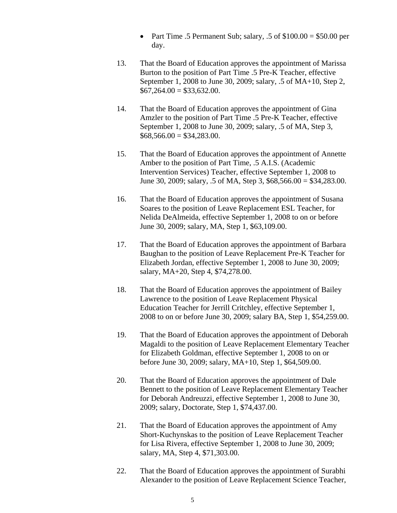- Part Time .5 Permanent Sub; salary, .5 of  $$100.00 = $50.00$  per day.
- 13. That the Board of Education approves the appointment of Marissa Burton to the position of Part Time .5 Pre-K Teacher, effective September 1, 2008 to June 30, 2009; salary, .5 of MA+10, Step 2,  $$67,264.00 = $33,632.00.$
- 14. That the Board of Education approves the appointment of Gina Amzler to the position of Part Time .5 Pre-K Teacher, effective September 1, 2008 to June 30, 2009; salary, .5 of MA, Step 3,  $$68,566.00 = $34,283.00.$
- 15. That the Board of Education approves the appointment of Annette Amber to the position of Part Time, .5 A.I.S. (Academic Intervention Services) Teacher, effective September 1, 2008 to June 30, 2009; salary, .5 of MA, Step 3, \$68,566.00 = \$34,283.00.
- 16. That the Board of Education approves the appointment of Susana Soares to the position of Leave Replacement ESL Teacher, for Nelida DeAlmeida, effective September 1, 2008 to on or before June 30, 2009; salary, MA, Step 1, \$63,109.00.
- 17. That the Board of Education approves the appointment of Barbara Baughan to the position of Leave Replacement Pre-K Teacher for Elizabeth Jordan, effective September 1, 2008 to June 30, 2009; salary, MA+20, Step 4, \$74,278.00.
- 18. That the Board of Education approves the appointment of Bailey Lawrence to the position of Leave Replacement Physical Education Teacher for Jerrill Critchley, effective September 1, 2008 to on or before June 30, 2009; salary BA, Step 1, \$54,259.00.
- 19. That the Board of Education approves the appointment of Deborah Magaldi to the position of Leave Replacement Elementary Teacher for Elizabeth Goldman, effective September 1, 2008 to on or before June 30, 2009; salary, MA+10, Step 1, \$64,509.00.
- 20. That the Board of Education approves the appointment of Dale Bennett to the position of Leave Replacement Elementary Teacher for Deborah Andreuzzi, effective September 1, 2008 to June 30, 2009; salary, Doctorate, Step 1, \$74,437.00.
- 21. That the Board of Education approves the appointment of Amy Short-Kuchynskas to the position of Leave Replacement Teacher for Lisa Rivera, effective September 1, 2008 to June 30, 2009; salary, MA, Step 4, \$71,303.00.
- 22. That the Board of Education approves the appointment of Surabhi Alexander to the position of Leave Replacement Science Teacher,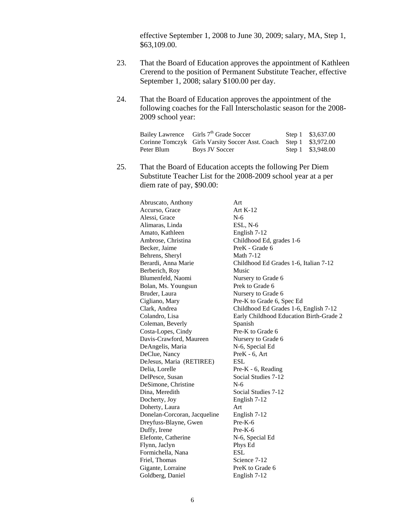effective September 1, 2008 to June 30, 2009; salary, MA, Step 1, \$63,109.00.

- 23. That the Board of Education approves the appointment of Kathleen Crerend to the position of Permanent Substitute Teacher, effective September 1, 2008; salary \$100.00 per day.
- 24. That the Board of Education approves the appointment of the following coaches for the Fall Interscholastic season for the 2008- 2009 school year:

|            | Bailey Lawrence Girls 7 <sup>th</sup> Grade Soccer                 | Step 1 \$3,637.00 |
|------------|--------------------------------------------------------------------|-------------------|
|            | Corinne Tomczyk Girls Varsity Soccer Asst. Coach Step 1 \$3,972.00 |                   |
| Peter Blum | Boys JV Soccer                                                     | Step 1 \$3,948.00 |

25. That the Board of Education accepts the following Per Diem Substitute Teacher List for the 2008-2009 school year at a per diem rate of pay, \$90.00:

| Abruscato, Anthony           | Art                                     |
|------------------------------|-----------------------------------------|
| Accurso, Grace               | Art $K-12$                              |
| Alessi, Grace                | $N-6$                                   |
| Alimaras, Linda              | ESL, N-6                                |
| Amato, Kathleen              | English 7-12                            |
| Ambrose, Christina           | Childhood Ed, grades 1-6                |
| Becker, Jaime                | PreK - Grade 6                          |
| Behrens, Sheryl              | <b>Math 7-12</b>                        |
| Berardi, Anna Marie          | Childhood Ed Grades 1-6, Italian 7-12   |
| Berberich, Roy               | Music                                   |
| Blumenfeld, Naomi            | Nursery to Grade 6                      |
| Bolan, Ms. Youngsun          | Prek to Grade 6                         |
| Bruder, Laura                | Nursery to Grade 6                      |
| Cigliano, Mary               | Pre-K to Grade 6, Spec Ed               |
| Clark, Andrea                | Childhood Ed Grades 1-6, English 7-12   |
| Colandro, Lisa               | Early Childhood Education Birth-Grade 2 |
| Coleman, Beverly             | Spanish                                 |
| Costa-Lopes, Cindy           | Pre-K to Grade 6                        |
| Davis-Crawford, Maureen      | Nursery to Grade 6                      |
| DeAngelis, Maria             | N-6, Special Ed                         |
| DeClue, Nancy                | PreK - 6, Art                           |
| DeJesus, Maria (RETIREE)     | <b>ESL</b>                              |
| Delia, Lorelle               | Pre-K - 6, Reading                      |
| DelPesce, Susan              | Social Studies 7-12                     |
| DeSimone, Christine          | $N-6$                                   |
| Dina, Meredith               | Social Studies 7-12                     |
| Docherty, Joy                | English 7-12                            |
| Doherty, Laura               | Art                                     |
| Donelan-Corcoran, Jacqueline | English 7-12                            |
| Dreyfuss-Blayne, Gwen        | $Pre-K-6$                               |
| Duffy, Irene                 | $Pre-K-6$                               |
| Elefonte, Catherine          | N-6, Special Ed                         |
| Flynn, Jaclyn                | Phys Ed                                 |
| Formichella, Nana            | <b>ESL</b>                              |
| Friel, Thomas                | Science 7-12                            |
| Gigante, Lorraine            | PreK to Grade 6                         |
| Goldberg, Daniel             | English 7-12                            |
|                              |                                         |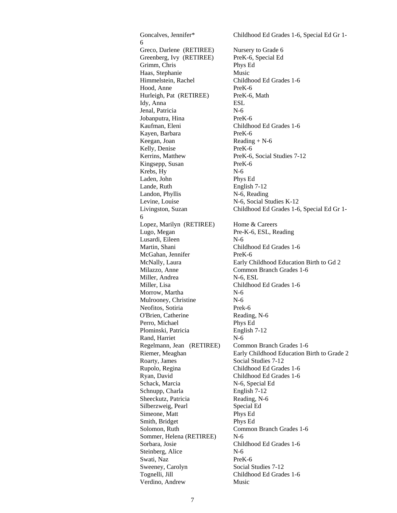Goncalves, Jennifer\* Childhood Ed Grades 1-6, Special Ed Gr 1-Greco, Darlene (RETIREE) Nursery to Grade 6 Greenberg, Ivy (RETIREE) PreK-6, Special Ed Grimm, Chris Phys Ed Haas, Stephanie Music Himmelstein, Rachel Childhood Ed Grades 1-6 Hood, Anne PreK-6 Hurleigh, Pat (RETIREE) PreK-6, Math Idy, Anna ESL Jenal, Patricia N-6 Jobanputra, Hina PreK-6 Kaufman, Eleni Childhood Ed Grades 1-6 Kayen, Barbara PreK-6 Keegan, Joan Reading + N-6 Kelly, Denise PreK-6 Kerrins, Matthew PreK-6, Social Studies 7-12 Kingsepp, Susan PreK-6 Krebs, Hy N-6 Laden, John Phys Ed Lande, Ruth English 7-12 Landon, Phyllis N-6, Reading Levine, Louise N-6, Social Studies K-12 Livingston, Suzan Childhood Ed Grades 1-6, Special Ed Gr 1- Lopez, Marilyn (RETIREE) Home & Careers Lugo, Megan Pre-K-6, ESL, Reading Lusardi, Eileen N-6<br>Martin, Shani Chil Childhood Ed Grades 1-6 McGahan, Jennifer PreK-6 McNally, Laura Early Childhood Education Birth to Gd 2 Milazzo, Anne Common Branch Grades 1-6 Miller, Andrea N-6, ESL Miller, Lisa Childhood Ed Grades 1-6 Morrow, Martha N-6 Mulrooney, Christine N-6 Neofitos, Sotiria Prek-6 O'Brien, Catherine Reading, N-6 Perro, Michael Phys Ed Plominski, Patricia English 7-12 Rand, Harriet N-6 Regelmann, Jean (RETIREE) Common Branch Grades 1-6 Riemer, Meaghan Early Childhood Education Birth to Grade 2 Roarty, James Social Studies 7-12 Rupolo, Regina Childhood Ed Grades 1-6 Ryan, David Childhood Ed Grades 1-6 Schack, Marcia N-6, Special Ed Schnupp, Charla English 7-12 Sheeckutz, Patricia Reading, N-6 Silberzweig, Pearl Special Ed Simeone, Matt Phys Ed Smith, Bridget Phys Ed Solomon, Ruth Common Branch Grades 1-6 Sommer, Helena (RETIREE) N-6 Sorbara, Josie Childhood Ed Grades 1-6 Steinberg, Alice N-6 Swati, Naz PreK-6 Sweeney, Carolyn Social Studies 7-12 Tognelli, Jill Childhood Ed Grades 1-6 Verdino, Andrew Music

6

6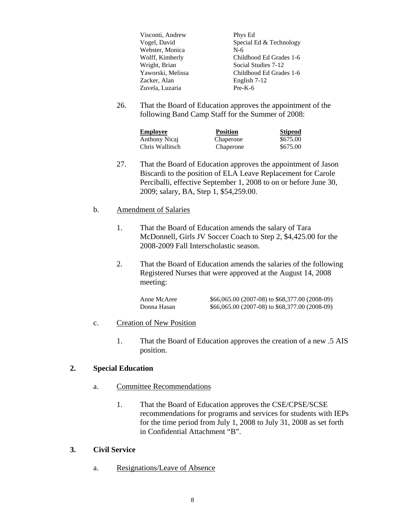| Visconti, Andrew  | Phys Ed                 |
|-------------------|-------------------------|
| Vogel, David      | Special Ed & Technology |
| Webster, Monica   | $N-6$                   |
| Wolff, Kimberly   | Childhood Ed Grades 1-6 |
| Wright, Brian     | Social Studies 7-12     |
| Yaworski, Melissa | Childhood Ed Grades 1-6 |
| Zacker, Alan      | English 7-12            |
| Zuvela, Luzaria   | $Pre-K-6$               |

26. That the Board of Education approves the appointment of the following Band Camp Staff for the Summer of 2008:

| <b>Employee</b> | <b>Position</b> | <b>Stipend</b> |
|-----------------|-----------------|----------------|
| Anthony Nicaj   | Chaperone       | \$675.00       |
| Chris Wallitsch | Chaperone       | \$675.00       |

27. That the Board of Education approves the appointment of Jason Biscardi to the position of ELA Leave Replacement for Carole Perciballi, effective September 1, 2008 to on or before June 30, 2009; salary, BA, Step 1, \$54,259.00.

#### b. Amendment of Salaries

- 1. That the Board of Education amends the salary of Tara McDonnell, Girls JV Soccer Coach to Step 2, \$4,425.00 for the 2008-2009 Fall Interscholastic season.
- 2. That the Board of Education amends the salaries of the following Registered Nurses that were approved at the August 14, 2008 meeting:

| Anne McAree | \$66,065.00 (2007-08) to \$68,377.00 (2008-09) |
|-------------|------------------------------------------------|
| Donna Hasan | \$66,065.00 (2007-08) to \$68,377.00 (2008-09) |

#### c. Creation of New Position

1. That the Board of Education approves the creation of a new .5 AIS position.

#### **2. Special Education**

- a. Committee Recommendations
	- 1. That the Board of Education approves the CSE/CPSE/SCSE recommendations for programs and services for students with IEPs for the time period from July 1, 2008 to July 31, 2008 as set forth in Confidential Attachment "B".

#### **3. Civil Service**

a. Resignations/Leave of Absence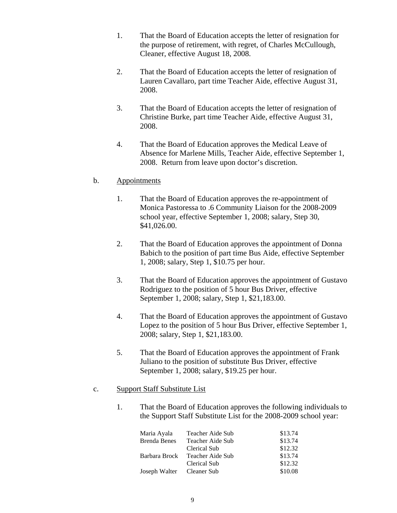- 1. That the Board of Education accepts the letter of resignation for the purpose of retirement, with regret, of Charles McCullough, Cleaner, effective August 18, 2008.
- 2. That the Board of Education accepts the letter of resignation of Lauren Cavallaro, part time Teacher Aide, effective August 31, 2008.
- 3. That the Board of Education accepts the letter of resignation of Christine Burke, part time Teacher Aide, effective August 31, 2008.
- 4. That the Board of Education approves the Medical Leave of Absence for Marlene Mills, Teacher Aide, effective September 1, 2008. Return from leave upon doctor's discretion.

#### b. Appointments

- 1. That the Board of Education approves the re-appointment of Monica Pastoressa to .6 Community Liaison for the 2008-2009 school year, effective September 1, 2008; salary, Step 30, \$41,026.00.
- 2. That the Board of Education approves the appointment of Donna Babich to the position of part time Bus Aide, effective September 1, 2008; salary, Step 1, \$10.75 per hour.
- 3. That the Board of Education approves the appointment of Gustavo Rodriguez to the position of 5 hour Bus Driver, effective September 1, 2008; salary, Step 1, \$21,183.00.
- 4. That the Board of Education approves the appointment of Gustavo Lopez to the position of 5 hour Bus Driver, effective September 1, 2008; salary, Step 1, \$21,183.00.
- 5. That the Board of Education approves the appointment of Frank Juliano to the position of substitute Bus Driver, effective September 1, 2008; salary, \$19.25 per hour.

#### c. Support Staff Substitute List

1. That the Board of Education approves the following individuals to the Support Staff Substitute List for the 2008-2009 school year:

| Maria Ayala               | Teacher Aide Sub | \$13.74 |
|---------------------------|------------------|---------|
| <b>Brenda Benes</b>       | Teacher Aide Sub | \$13.74 |
|                           | Clerical Sub     | \$12.32 |
| Barbara Brock             | Teacher Aide Sub | \$13.74 |
|                           | Clerical Sub     | \$12.32 |
| Joseph Walter Cleaner Sub |                  | \$10.08 |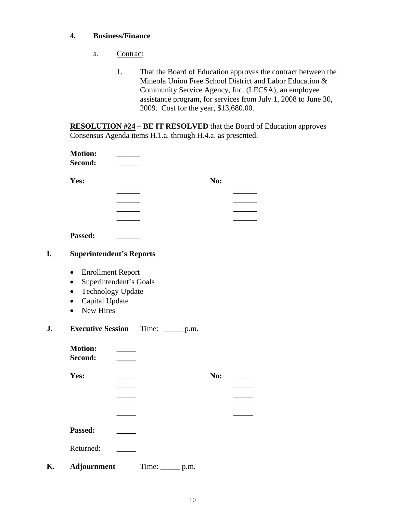#### **4. Business/Finance**

- a. Contract
	- 1. That the Board of Education approves the contract between the Mineola Union Free School District and Labor Education & Community Service Agency, Inc. (LECSA), an employee assistance program, for services from July 1, 2008 to June 30, 2009. Cost for the year, \$13,680.00.

**RESOLUTION #24 – BE IT RESOLVED** that the Board of Education approves Consensus Agenda items H.1.a. through H.4.a. as presented.

| <b>Motion:</b>                                                                                                                                                                                       |                          |                           |
|------------------------------------------------------------------------------------------------------------------------------------------------------------------------------------------------------|--------------------------|---------------------------|
| Second:                                                                                                                                                                                              | $\overline{\phantom{a}}$ |                           |
| Yes:                                                                                                                                                                                                 |                          | <b>No:</b>                |
| Passed:                                                                                                                                                                                              |                          |                           |
| <b>Superintendent's Reports</b>                                                                                                                                                                      |                          |                           |
| <b>Enrollment Report</b><br>Superintendent's Goals<br>$\bullet$<br><b>Technology Update</b><br>$\bullet$<br>Capital Update<br>$\bullet$<br><b>New Hires</b><br>$\bullet$<br><b>Executive Session</b> | Time: _______ p.m.       |                           |
|                                                                                                                                                                                                      |                          |                           |
| <b>Motion:</b><br>Second:                                                                                                                                                                            |                          |                           |
| Yes:                                                                                                                                                                                                 |                          | No:                       |
|                                                                                                                                                                                                      |                          |                           |
|                                                                                                                                                                                                      |                          |                           |
| Passed:                                                                                                                                                                                              |                          |                           |
| Returned:                                                                                                                                                                                            |                          |                           |
| <b>Adjournment</b>                                                                                                                                                                                   | Time:                    | $\rule{1em}{0.05em}$ p.m. |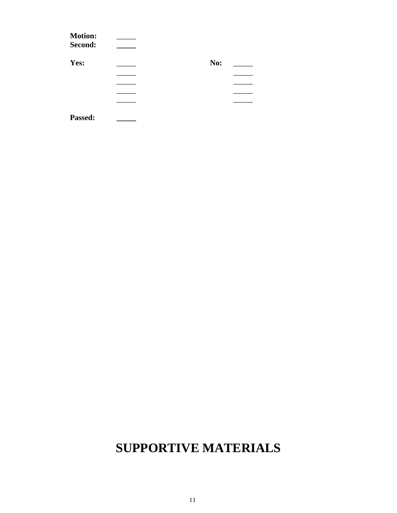| <b>Motion:</b><br>Second: |     |  |
|---------------------------|-----|--|
| Yes:                      | No: |  |
|                           |     |  |
|                           |     |  |
|                           |     |  |
|                           |     |  |
| Passed:                   |     |  |

# **SUPPORTIVE MATERIALS**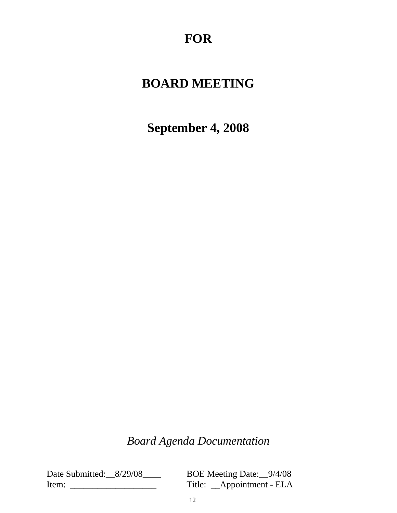# **FOR**

# **BOARD MEETING**

**September 4, 2008**

# *Board Agenda Documentation*

Date Submitted: 8/29/08 BOE Meeting Date: 9/4/08 Item: \_\_\_\_\_\_\_\_\_\_\_\_\_\_\_\_\_\_\_ Title: \_\_Appointment - ELA